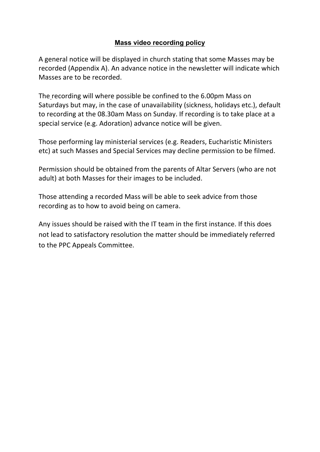## **Mass video recording policy**

A general notice will be displayed in church stating that some Masses may be recorded (Appendix A). An advance notice in the newsletter will indicate which Masses are to be recorded.

The recording will where possible be confined to the 6.00pm Mass on Saturdays but may, in the case of unavailability (sickness, holidays etc.), default to recording at the 08.30am Mass on Sunday. If recording is to take place at a special service (e.g. Adoration) advance notice will be given.

Those performing lay ministerial services (e.g. Readers, Eucharistic Ministers etc) at such Masses and Special Services may decline permission to be filmed.

Permission should be obtained from the parents of Altar Servers (who are not adult) at both Masses for their images to be included.

Those attending a recorded Mass will be able to seek advice from those recording as to how to avoid being on camera.

Any issues should be raised with the IT team in the first instance. If this does not lead to satisfactory resolution the matter should be immediately referred to the PPC Appeals Committee.